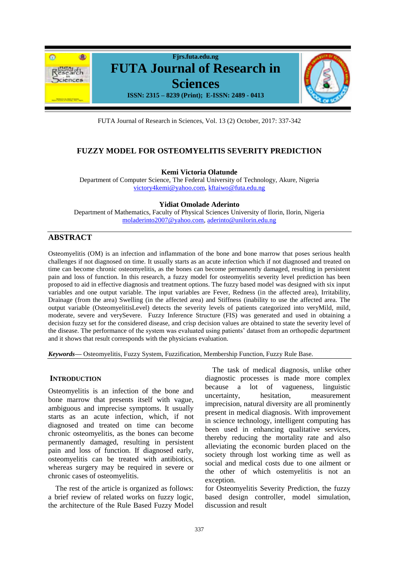

FUTA Journal of Research in Sciences, Vol. 13 (2) October, 2017: 337-342

# **FUZZY MODEL FOR OSTEOMYELITIS SEVERITY PREDICTION**

**Kemi Victoria Olatunde**

Department of Computer Science, The Federal University of Technology, Akure, Nigeria [victory4kemi@yahoo.com,](mailto:victory4kemi@yahoo.com) [kftaiwo@futa.edu.ng](mailto:kftaiwo@futa.edu.ng)

**Yidiat Omolade Aderinto** 

Department of Mathematics, Faculty of Physical Sciences University of Ilorin, Ilorin, Nigeria [moladerinto2007@yahoo.com,](mailto:moladerinto2007@yahoo.com) [aderinto@unilorin.edu.ng](mailto:aderinto@unilorin.edu.ng)

# **ABSTRACT**

Osteomyelitis (OM) is an infection and inflammation of the bone and bone marrow that poses serious health challenges if not diagnosed on time. It usually starts as an acute infection which if not diagnosed and treated on time can become chronic osteomyelitis, as the bones can become permanently damaged, resulting in persistent pain and loss of function. In this research, a fuzzy model for osteomyelitis severity level prediction has been proposed to aid in effective diagnosis and treatment options. The fuzzy based model was designed with six input variables and one output variable. The input variables are Fever, Redness (in the affected area), Irritability, Drainage (from the area) Swelling (in the affected area) and Stiffness (inability to use the affected area. The output variable (OsteomyelitisLevel) detects the severity levels of patients categorized into veryMild, mild, moderate, severe and verySevere. Fuzzy Inference Structure (FIS) was generated and used in obtaining a decision fuzzy set for the considered disease, and crisp decision values are obtained to state the severity level of the disease. The performance of the system was evaluated using patients' dataset from an orthopedic department and it shows that result corresponds with the physicians evaluation.

*Keywords***—** Osteomyelitis, Fuzzy System, Fuzzification, Membership Function, Fuzzy Rule Base.

### **INTRODUCTION**

Osteomyelitis is an infection of the bone and bone marrow that presents itself with vague, ambiguous and imprecise symptoms. It usually starts as an acute infection, which, if not diagnosed and treated on time can become chronic osteomyelitis, as the bones can become permanently damaged, resulting in persistent pain and loss of function. If diagnosed early, osteomyelitis can be treated with antibiotics, whereas surgery may be required in severe or chronic cases of osteomyelitis.

The rest of the article is organized as follows: a brief review of related works on fuzzy logic, the architecture of the Rule Based Fuzzy Model

The task of medical diagnosis, unlike other diagnostic processes is made more complex because a lot of vagueness, linguistic uncertainty, hesitation, measurement imprecision, natural diversity are all prominently present in medical diagnosis. With improvement in science technology, intelligent computing has been used in enhancing qualitative services, thereby reducing the mortality rate and also alleviating the economic burden placed on the society through lost working time as well as social and medical costs due to one ailment or the other of which ostemyelitis is not an exception.

for Osteomyelitis Severity Prediction, the fuzzy based design controller, model simulation, discussion and result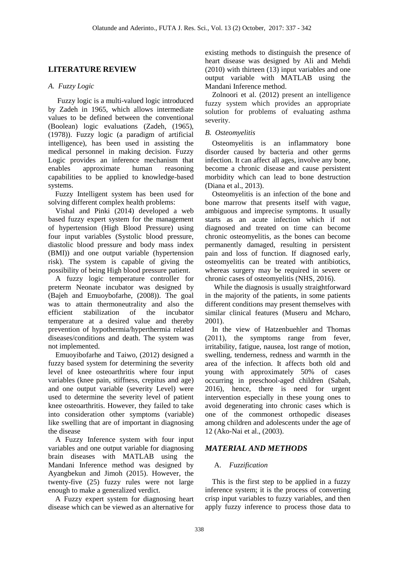# **LITERATURE REVIEW**

### *A. Fuzzy Logic*

Fuzzy logic is a multi-valued logic introduced by Zadeh in 1965, which allows intermediate values to be defined between the conventional (Boolean) logic evaluations (Zadeh, (1965), (1978)). Fuzzy logic (a paradigm of artificial intelligence), has been used in assisting the medical personnel in making decision. Fuzzy Logic provides an inference mechanism that enables approximate human reasoning capabilities to be applied to knowledge-based systems.

Fuzzy Intelligent system has been used for solving different complex health problems:

Vishal and Pinki (2014) developed a web based fuzzy expert system for the management of hypertension (High Blood Pressure) using four input variables (Systolic blood pressure, diastolic blood pressure and body mass index (BMI)) and one output variable (hypertension risk). The system is capable of giving the possibility of being High blood pressure patient.

A fuzzy logic temperature controller for preterm Neonate incubator was designed by (Bajeh and Emuoybofarhe, (2008)). The goal was to attain thermoneutrality and also the efficient stabilization of the incubator temperature at a desired value and thereby prevention of hypothermia/hyperthermia related diseases/conditions and death. The system was not implemented.

Emuoyibofarhe and Taiwo, (2012) designed a fuzzy based system for determining the severity level of knee osteoarthritis where four input variables (knee pain, stiffness, crepitus and age) and one output variable (severity Level) were used to determine the severity level of patient knee osteoarthritis. However, they failed to take into consideration other symptoms (variable) like swelling that are of important in diagnosing the disease

A Fuzzy Inference system with four input variables and one output variable for diagnosing brain diseases with MATLAB using the Mandani Inference method was designed by Ayangbekun and Jimoh (2015). However, the twenty-five (25) fuzzy rules were not large enough to make a generalized verdict.

A Fuzzy expert system for diagnosing heart disease which can be viewed as an alternative for existing methods to distinguish the presence of heart disease was designed by Ali and Mehdi (2010) with thirteen (13) input variables and one output variable with MATLAB using the Mandani Inference method.

Zolnoori et al. (2012) present an intelligence fuzzy system which provides an appropriate solution for problems of evaluating asthma severity.

## *B. Osteomyelitis*

Osteomyelitis is an inflammatory bone disorder caused by bacteria and other germs infection. It can affect all ages, involve any bone, become a chronic disease and cause persistent morbidity which can lead to bone destruction (Diana et al., 2013).

Osteomyelitis is an infection of the bone and bone marrow that presents itself with vague, ambiguous and imprecise symptoms. It usually starts as an acute infection which if not diagnosed and treated on time can become chronic osteomyelitis, as the bones can become permanently damaged, resulting in persistent pain and loss of function. If diagnosed early, osteomyelitis can be treated with antibiotics, whereas surgery may be required in severe or chronic cases of osteomyelitis (NHS, 2016).

While the diagnosis is usually straightforward in the majority of the patients, in some patients different conditions may present themselves with similar clinical features (Museru and Mcharo, 2001).

In the view of Hatzenbuehler and Thomas (2011), the symptoms range from fever, irritability, fatigue, nausea, lost range of motion, swelling, tenderness, redness and warmth in the area of the infection. It affects both old and young with approximately 50% of cases occurring in preschool-aged children (Sabah, 2016), hence, there is need for urgent intervention especially in these young ones to avoid degenerating into chronic cases which is one of the commonest orthopedic diseases among children and adolescents under the age of 12 (Ako-Nai et al., (2003).

# *MATERIAL AND METHODS*

# A. *Fuzzification*

This is the first step to be applied in a fuzzy inference system; it is the process of converting crisp input variables to fuzzy variables, and then apply fuzzy inference to process those data to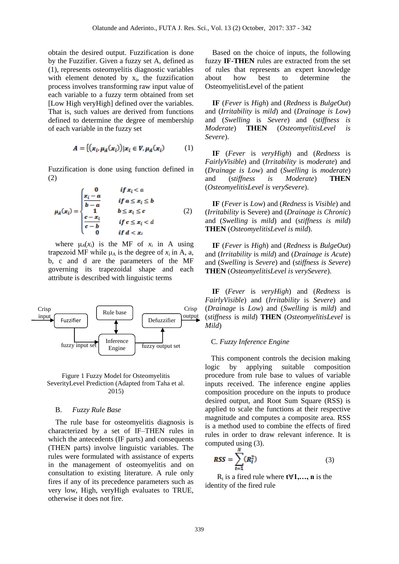obtain the desired output. Fuzzification is done by the Fuzzifier. Given a fuzzy set A, defined as (1), represents osteomyelitis diagnostic variables with element denoted by  $x_i$ , the fuzzification process involves transforming raw input value of each variable to a fuzzy term obtained from set [Low High veryHigh] defined over the variables. That is, such values are derived from functions defined to determine the degree of membership of each variable in the fuzzy set

$$
A = \{ (x_i, \mu_A(x_i)) | x_i \in V, \mu_A(x_i) \tag{1}
$$

Fuzzification is done using function defined in (2)

$$
\mu_A(x_i) = \begin{cases}\n\frac{x_i - a}{b - a} & \text{if } x_i < a \\
\frac{x_i - a}{b - a} & \text{if } a \le x_i \le b \\
1 & b \le x_i \le c \\
\frac{c - x_i}{c - b} & \text{if } c \le x_i < d \\
0 & \text{if } d < x_i\n\end{cases} \tag{2}
$$

where  $\mu_A(x_i)$  is the MF of  $x_i$  in A using trapezoid MF while  $\mu_A$  is the degree of  $x_i$  in A, a, b, c and d are the parameters of the MF governing its trapezoidal shape and each attribute is described with linguistic terms



Figure 1 Fuzzy Model for Osteomyelitis SeverityLevel Prediction (Adapted from Taha et al. 2015)

#### B. *Fuzzy Rule Base*

The rule base for osteomyelitis diagnosis is characterized by a set of IF–THEN rules in which the antecedents (IF parts) and consequents (THEN parts) involve linguistic variables. The rules were formulated with assistance of experts in the management of osteomyelitis and on consultation to existing literature. A rule only fires if any of its precedence parameters such as very low, High, veryHigh evaluates to TRUE, otherwise it does not fire.

Based on the choice of inputs, the following fuzzy **IF-THEN** rules are extracted from the set of rules that represents an expert knowledge about how best to determine the OsteomyelitisLevel of the patient

**IF** (*Fever* is *High*) and (*Redness* is *BulgeOut*) and (*Irritability* is *mild*) and (*Drainage is Low*) and (*Swelling* is *Severe*) and (s*tiffness is Moderate*) **THEN** (*OsteomyelitisLevel is Severe*).

**IF** (*Fever* is *veryHigh*) and (*Redness* is *FairlyVisible*) and (*Irritability* is *moderate*) and (*Drainage is Low*) and (*Swelling* is *moderate*) and (s*tiffness is Moderate*) **THEN**  (*OsteomyelitisLevel is verySevere*).

**IF** (*Fever* is *Low*) and (*Redness* is *Visible*) and (*Irritability* is Severe) and (*Drainage is Chronic*) and (*Swelling* is *mild*) and (s*tiffness is mild*) **THEN** (*OsteomyelitisLevel is mild*).

**IF** (*Fever* is *High*) and (*Redness* is *BulgeOut*) and (*Irritability* is *mild*) and (*Drainage is Acute*) and (*Swelling* is *Severe*) and (s*tiffness is Severe*) **THEN** (*OsteomyelitisLevel is verySevere*).

**IF** (*Fever* is *veryHigh*) and (*Redness* is *FairlyVisible*) and (*Irritability* is *Severe*) and (*Drainage* is *Low*) and (*Swelling* is *mild*) and (*stiffness* is *mild*) **THEN** (*OsteomyelitisLevel* is *Mild*)

#### C. *Fuzzy Inference Engine*

This component controls the decision making logic by applying suitable composition procedure from rule base to values of variable inputs received. The inference engine applies composition procedure on the inputs to produce desired output, and Root Sum Square (RSS) is applied to scale the functions at their respective magnitude and computes a composite area. RSS is a method used to combine the effects of fired rules in order to draw relevant inference. It is computed using (3).

$$
RSS = \sum_{t=1}^{N} (R_t^2)
$$
 (3)

 $R_t$  is a fired rule where  $t \forall 1,..., n$  is the identity of the fired rule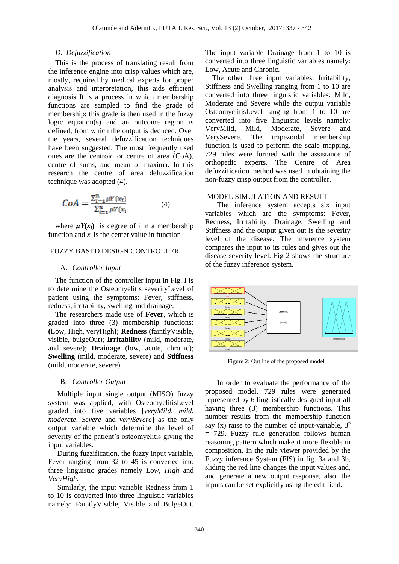#### *D. Defuzzification*

This is the process of translating result from the inference engine into crisp values which are, mostly, required by medical experts for proper analysis and interpretation, this aids efficient diagnosis It is a process in which membership functions are sampled to find the grade of membership; this grade is then used in the fuzzy logic equation(s) and an outcome region is defined, from which the output is deduced. Over the years, several defuzzification techniques have been suggested. The most frequently used ones are the centroid or centre of area (CoA), centre of sums, and mean of maxima. In this research the centre of area defuzzification technique was adopted (4).

$$
CoA = \frac{\sum_{i=1}^{n} \mu Y(x_i)}{\sum_{i=1}^{n} \mu Y(x_i)}
$$
(4)

where  $\mu Y(x_i)$  is degree of i in a membership function and  $x_i$  is the center value in function

#### FUZZY BASED DESIGN CONTROLLER

#### A. *Controller Input*

The function of the controller input in Fig. I is to determine the Osteomyelitis severityLevel of patient using the symptoms; Fever, stiffness, redness, irritability, swelling and drainage.

The researchers made use of **Fever**, which is graded into three (3) membership functions: **(**Low, High, veryHigh**)**; **Redness (**faintlyVisible, visible, bulgeOut); **Irritability** (mild, moderate, and severe); **Drainage** (low, acute, chronic); **Swelling** (mild, moderate, severe) and **Stiffness** (mild, moderate, severe).

#### B. *Controller Output*

Multiple input single output (MISO) fuzzy system was applied, with OsteomyelitisLevel graded into five variables [*veryMild*, *mild*, *moderate*, *Severe* and *verySevere*] as the only output variable which determine the level of severity of the patient's osteomyelitis giving the input variables.

During fuzzification, the fuzzy input variable, Fever ranging from 32 to 45 is converted into three linguistic grades namely *Low*, *High* and *VeryHigh*.

Similarly, the input variable Redness from 1 to 10 is converted into three linguistic variables namely: FaintlyVisible, Visible and BulgeOut.

The input variable Drainage from 1 to 10 is converted into three linguistic variables namely: Low, Acute and Chronic.

The other three input variables; Irritability, Stiffness and Swelling ranging from 1 to 10 are converted into three linguistic variables: Mild, Moderate and Severe while the output variable OsteomyelitisLevel ranging from 1 to 10 are converted into five linguistic levels namely: VeryMild, Mild, Moderate, Severe and VerySevere. The trapezoidal membership function is used to perform the scale mapping. 729 rules were formed with the assistance of orthopedic experts. The Centre of Area defuzzification method was used in obtaining the non-fuzzy crisp output from the controller.

#### MODEL SIMULATION AND RESULT

The inference system accepts six input variables which are the symptoms: Fever, Redness, Irritability, Drainage, Swelling and Stiffness and the output given out is the severity level of the disease. The inference system compares the input to its rules and gives out the disease severity level. Fig 2 shows the structure of the fuzzy inference system.



Figure 2: Outline of the proposed model

In order to evaluate the performance of the proposed model, 729 rules were generated represented by 6 linguistically designed input all having three (3) membership functions. This number results from the membership function say (x) raise to the number of input-variable,  $3<sup>6</sup>$ = 729. Fuzzy rule generation follows human reasoning pattern which make it more flexible in composition. In the rule viewer provided by the Fuzzy inference System (FIS) in fig. 3a and 3b, sliding the red line changes the input values and, and generate a new output response, also, the inputs can be set explicitly using the edit field.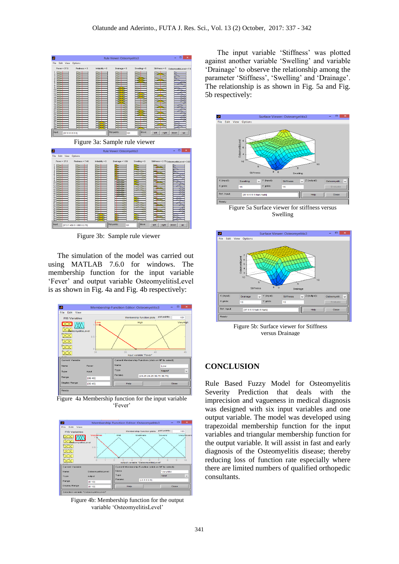

Figure 3b: Sample rule viewer

The simulation of the model was carried out using MATLAB 7.6.0 for windows. The membership function for the input variable 'Fever' and output variable OsteomyelitisLevel is as shown in Fig. 4a and Fig. 4b respectively:



Figure 4a Membership function for the input variable 'Fever'



Figure 4b: Membership function for the output variable 'OsteomyelitisLevel'

The input variable 'Stiffness' was plotted against another variable 'Swelling' and variable 'Drainage' to observe the relationship among the parameter 'Stiffness', 'Swelling' and 'Drainage'. The relationship is as shown in Fig. 5a and Fig. 5b respectively:



Figure 5a Surface viewer for stiffness versus Swelling



Figure 5b: Surface viewer for Stiffness versus Drainage

### **CONCLUSION**

Rule Based Fuzzy Model for Osteomyelitis Severity Prediction that deals with the imprecision and vagueness in medical diagnosis was designed with six input variables and one output variable. The model was developed using trapezoidal membership function for the input variables and triangular membership function for the output variable. It will assist in fast and early diagnosis of the Osteomyelitis disease; thereby reducing loss of function rate especially where there are limited numbers of qualified orthopedic consultants.